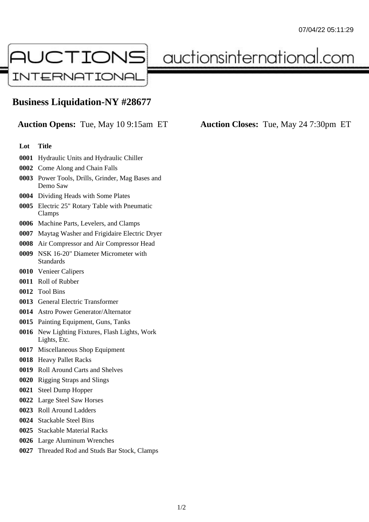

auctionsinternational.com

## **Business Liquidation-NY #28677**

**Auction Opens:** Tue, May 10 9:15am ET **Auction Closes:** Tue, May 24 7:30pm ET

## **Lot Title**

- Hydraulic Units and Hydraulic Chiller
- Come Along and Chain Falls
- Power Tools, Drills, Grinder, Mag Bases and Demo Saw
- Dividing Heads with Some Plates
- Electric 25" Rotary Table with Pneumatic Clamps
- Machine Parts, Levelers, and Clamps
- Maytag Washer and Frigidaire Electric Dryer
- Air Compressor and Air Compressor Head
- NSK 16-20" Diameter Micrometer with Standards
- Venieer Calipers
- Roll of Rubber
- Tool Bins
- General Electric Transformer
- Astro Power Generator/Alternator
- Painting Equipment, Guns, Tanks
- New Lighting Fixtures, Flash Lights, Work Lights, Etc.
- Miscellaneous Shop Equipment
- Heavy Pallet Racks
- Roll Around Carts and Shelves
- Rigging Straps and Slings
- Steel Dump Hopper
- Large Steel Saw Horses
- Roll Around Ladders
- Stackable Steel Bins
- Stackable Material Racks
- Large Aluminum Wrenches
- Threaded Rod and Studs Bar Stock, Clamps